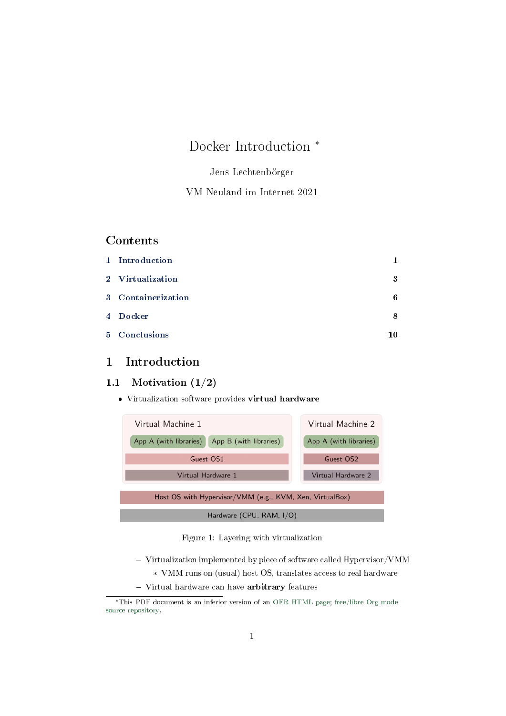# Docker Introduction \*

## Jens Lechtenbörger

## VM Neuland im Internet 2021

## **Contents**

| 1 Introduction     | 1  |
|--------------------|----|
| 2 Virtualization   | 3  |
| 3 Containerization | 6  |
| 4 Docker           | 8  |
| 5 Conclusions      | 10 |

## <span id="page-0-0"></span>1 Introduction

## 1.1 Motivation (1/2)

Virtualization software provides virtual hardware



Figure 1: Layering with virtualization

- $-$  Virtualization implemented by piece of software called Hypervisor/VMM
	- \* VMM runs on (usual) host OS, translates access to real hardware
- Virtual hardware can have arbitrary features

<sup>\*</sup>This PDF document is an inferior version of an [OER HTML page;](https://oer.gitlab.io/oer-courses/vm-neuland/Docker.html) [free/libre Org mode](https://gitlab.com/oer/oer-courses/vm-neuland) [source repository.](https://gitlab.com/oer/oer-courses/vm-neuland)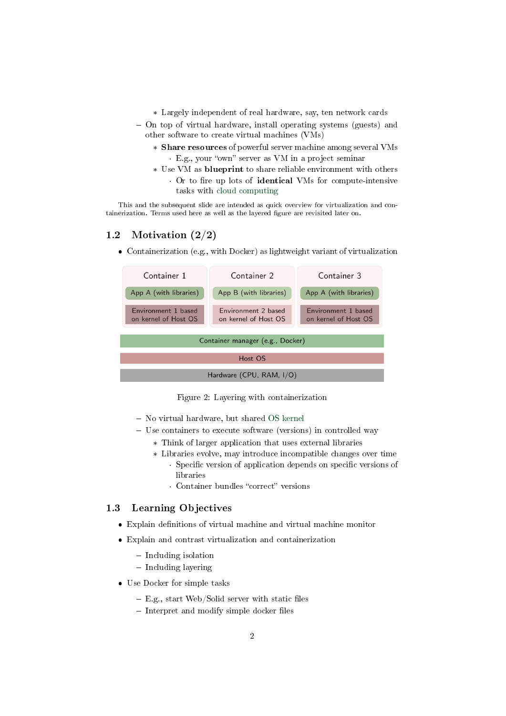- \* Largely independent of real hardware, say, ten network cards
- On top of virtual hardware, install operating systems (guests) and other software to create virtual machines (VMs)
	- \* Share resources of powerful server machine among several VMs · E.g., your "own" server as VM in a project seminar
	- \* Use VM as blueprint to share reliable environment with others · Or to fire up lots of identical VMs for compute-intensive tasks with [cloud computing](https://en.wikipedia.org/wiki/Cloud_computing)

This and the subsequent slide are intended as quick overview for virtualization and containerization. Terms used here as well as the layered figure are revisited later on.

## 1.2 Motivation (2/2)

Containerization (e.g., with Docker) as lightweight variant of virtualization



Figure 2: Layering with containerization

- No virtual hardware, but shared [OS kernel](https://oer.gitlab.io/OS/Operating-Systems-Introduction.html#slide-kernel-variants)
- Use containers to execute software (versions) in controlled way
	- \* Think of larger application that uses external libraries
	- \* Libraries evolve, may introduce incompatible changes over time • Specific version of application depends on specific versions of libraries
		- Container bundles "correct" versions

## 1.3 Learning Objectives

- $\bullet$  Explain definitions of virtual machine and virtual machine monitor
- Explain and contrast virtualization and containerization
	- Including isolation
	- Including layering
- Use Docker for simple tasks
	- $-$  E.g., start Web/Solid server with static files
	- $-$  Interpret and modify simple docker files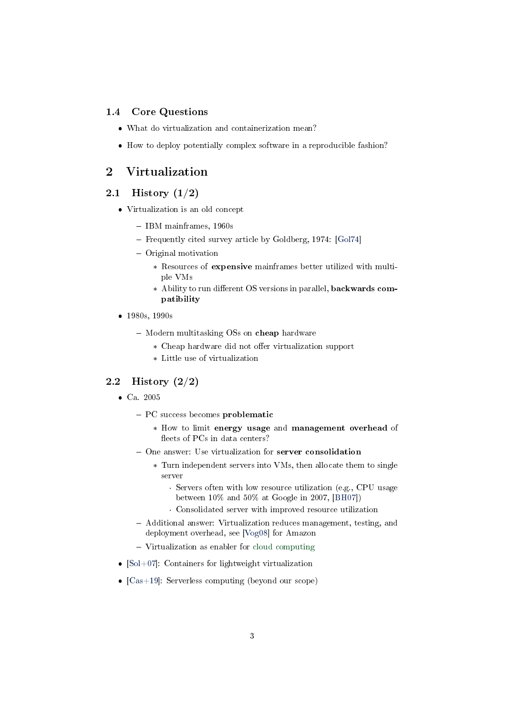#### 1.4 Core Questions

- What do virtualization and containerization mean?
- How to deploy potentially complex software in a reproducible fashion?

## <span id="page-2-0"></span>2 Virtualization

#### 2.1 History (1/2)

- Virtualization is an old concept
	- IBM mainframes, 1960s
	- Frequently cited survey article by Goldberg, 1974: [\[Gol74\]](#page-10-0)
	- Original motivation
		- \* Resources of expensive mainframes better utilized with multiple VMs
		- \* Ability to run different OS versions in parallel, backwards compatibility
- 1980s, 1990s
	- Modern multitasking OSs on cheap hardware
		- \* Cheap hardware did not offer virtualization support
		- \* Little use of virtualization

#### 2.2 History (2/2)

- Ca. 2005
	- PC success becomes problematic
		- \* How to limit energy usage and management overhead of fleets of PCs in data centers?
	- One answer: Use virtualization for server consolidation
		- \* Turn independent servers into VMs, then allocate them to single server
			- · Servers often with low resource utilization (e.g., CPU usage between 10% and 50% at Google in 2007, [\[BH07\]](#page-10-1))
			- · Consolidated server with improved resource utilization
	- Additional answer: Virtualization reduces management, testing, and deployment overhead, see [\[Vog08\]](#page-11-0) for Amazon
	- Virtualization as enabler for [cloud computing](https://en.wikipedia.org/wiki/Cloud_computing)
- $[Sol+07]$ : Containers for lightweight virtualization
- $[Cas+19]$ : Serverless computing (beyond our scope)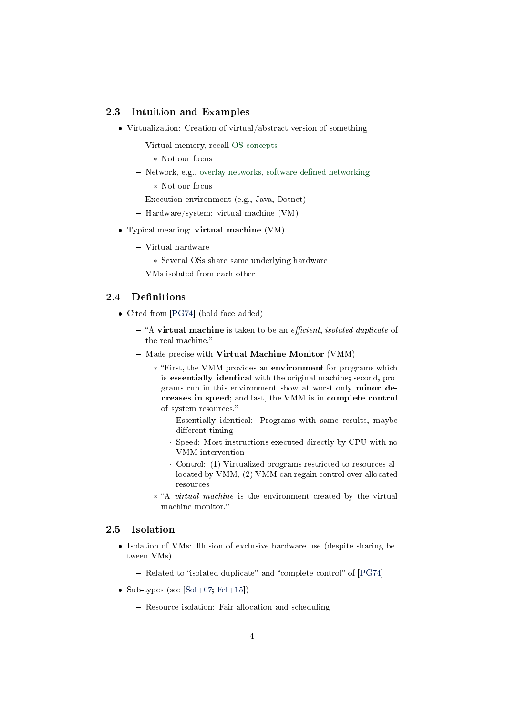#### <span id="page-3-0"></span>2.3 Intuition and Examples

- Virtualization: Creation of virtual/abstract version of something
	- Virtual memory, recall [OS concepts](https://oer.gitlab.io/OS/Operating-Systems-Memory-I.html)
		- \* Not our focus
	- Network, e.g., [overlay networks,](https://en.wikipedia.org/wiki/Overlay_network) software-defined networking
		- \* Not our focus
	- Execution environment (e.g., Java, Dotnet)
	- Hardware/system: virtual machine (VM)
- Typical meaning: virtual machine (VM)
	- Virtual hardware
		- \* Several OSs share same underlying hardware
	- VMs isolated from each other

## <span id="page-3-1"></span>2.4 Definitions

- Cited from [\[PG74\]](#page-10-3) (bold face added)
	- $-$  "A virtual machine is taken to be an *efficient*, *isolated duplicate* of the real machine.
	- $-$  Made precise with Virtual Machine Monitor (VMM)
		- \* First, the VMM provides an environment for programs which is essentially identical with the original machine; second, programs run in this environment show at worst only minor decreases in speed; and last, the VMM is in complete control of system resources.
			- · Essentially identical: Programs with same results, maybe different timing
			- · Speed: Most instructions executed directly by CPU with no VMM intervention
			- · Control: (1) Virtualized programs restricted to resources allocated by VMM, (2) VMM can regain control over allocated resources
		- \* "A *virtual machine* is the environment created by the virtual machine monitor."

#### 2.5 Isolation

- Isolation of VMs: Illusion of exclusive hardware use (despite sharing between VMs)
	- $-$  Related to "isolated duplicate" and "complete control" of [\[PG74\]](#page-10-3)
- Sub-types (see [\[Sol+07;](#page-11-1) [Fel+15\]](#page-10-4))
	- Resource isolation: Fair allocation and scheduling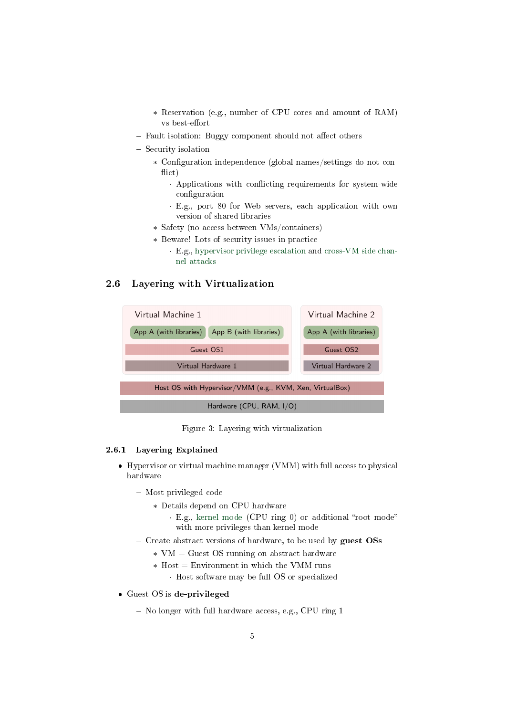- \* Reservation (e.g., number of CPU cores and amount of RAM) vs best-effort
- Fault isolation: Buggy component should not affect others
- Security isolation
	- \* Configuration independence (global names/settings do not con- $\text{flict}$ )
		- Applications with conflicting requirements for system-wide configuration
		- · E.g., port 80 for Web servers, each application with own version of shared libraries
	- \* Safety (no access between VMs/containers)
	- \* Beware! Lots of security issues in practice
		- · E.g., [hypervisor privilege escalation](https://www.startpage.com/do/search?q=hypervisor+privilege+escalation) and [cross-VM side chan](https://www.startpage.com/do/search?q=cross-vm+side+channel+attack)[nel attacks](https://www.startpage.com/do/search?q=cross-vm+side+channel+attack)

## 2.6 Layering with Virtualization



Figure 3: Layering with virtualization

#### 2.6.1 Layering Explained

- Hypervisor or virtual machine manager (VMM) with full access to physical hardware
	- Most privileged code
		- \* Details depend on CPU hardware
			- · E.g., [kernel mode](https://oer.gitlab.io/OS/Operating-Systems-Interrupts.html#slide-kernel-mode) (CPU ring 0) or additional "root mode" with more privileges than kernel mode
	- Create abstract versions of hardware, to be used by guest  $\text{OSs}$ 
		- \* VM = Guest OS running on abstract hardware
		- $*$  Host = Environment in which the VMM runs · Host software may be full OS or specialized
- Guest OS is de-privileged
	- No longer with full hardware access, e.g., CPU ring 1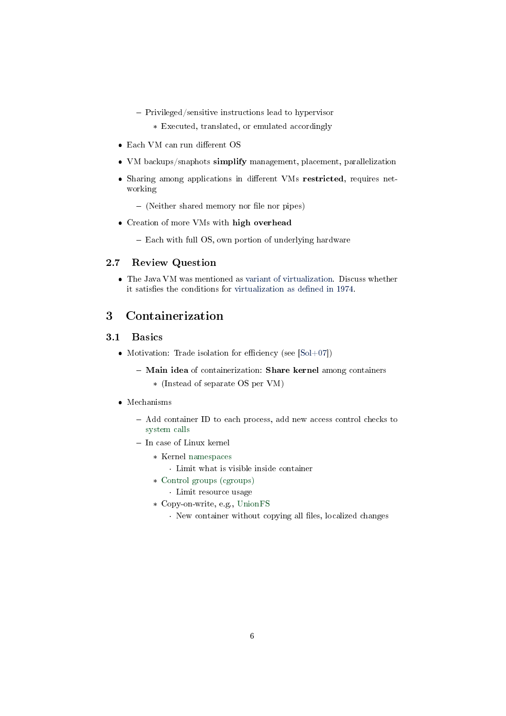- Privileged/sensitive instructions lead to hypervisor
	- \* Executed, translated, or emulated accordingly
- $\bullet$  Each VM can run different OS
- VM backups/snaphots simplify management, placement, parallelization
- Sharing among applications in different VMs restricted, requires networking
	- $-$  (Neither shared memory nor file nor pipes)
- Creation of more VMs with high overhead
	- Each with full OS, own portion of underlying hardware

#### 2.7 Review Question

 The Java VM was mentioned as [variant of virtualization.](#page-3-0) Discuss whether it satisfies the conditions for virtualization as defined in 1974.

## <span id="page-5-0"></span>3 Containerization

### 3.1 Basics

- Motivation: Trade isolation for efficiency (see  $[Sol+07]$ )
	- Main idea of containerization: Share kernel among containers
		- \* (Instead of separate OS per VM)

### • Mechanisms

- Add container ID to each process, add new access control checks to [system calls](https://oer.gitlab.io/OS/Operating-Systems-Introduction.html#slide-system-calls)
- In case of Linux kernel
	- \* Kernel [namespaces](https://en.wikipedia.org/wiki/Linux_namespaces)
		- · Limit what is visible inside container
	- \* [Control groups \(cgroups\)](https://en.wikipedia.org/wiki/Cgroups)
		- · Limit resource usage
	- \* Copy-on-write, e.g., [UnionFS](https://en.wikipedia.org/wiki/UnionFS)
		- $\cdot$  New container without copying all files, localized changes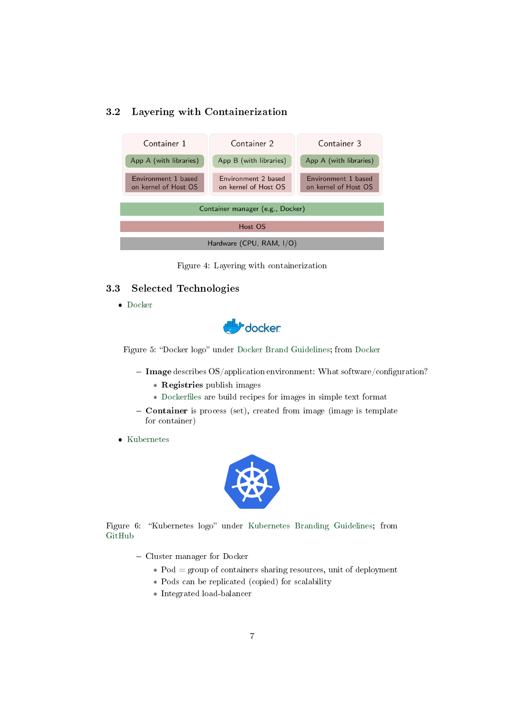## 3.2 Layering with Containerization

| Container 1                                 | Container 2                                 | Container 3                                 |  |  |
|---------------------------------------------|---------------------------------------------|---------------------------------------------|--|--|
| App A (with libraries)                      | App B (with libraries)                      | App A (with libraries)                      |  |  |
| Environment 1 based<br>on kernel of Host OS | Environment 2 based<br>on kernel of Host OS | Environment 1 based<br>on kernel of Host OS |  |  |
| Container manager (e.g., Docker)            |                                             |                                             |  |  |
| Host OS                                     |                                             |                                             |  |  |
| Hardware (CPU, RAM, I/O)                    |                                             |                                             |  |  |

Figure 4: Layering with containerization

#### 3.3 Selected Technologies

[Docker](https://www.docker.com/why-docker)



Figure 5: "Docker logo" under [Docker Brand Guidelines;](https://www.docker.com/brand-guidelines) from [Docker](https://www.docker.com/sites/default/files/legal/docker_logos_2018.zip)

- Image describes  $OS/application$  environment: What software/configuration?
	- \* Registries publish images
	- \* Dockerfiles are build recipes for images in simple text format
- Container is process (set), created from image (image is template for container)
- [Kubernetes](https://kubernetes.io/docs/tutorials/kubernetes-basics/)



Figure 6: "Kubernetes logo" under [Kubernetes Branding Guidelines;](https://github.com/kubernetes/kubernetes/blob/master/logo/usage_guidelines.md) from [GitHub](https://raw.githubusercontent.com/kubernetes/kubernetes/master/logo/logo_with_border.png)

- Cluster manager for Docker
	- $*$  Pod = group of containers sharing resources, unit of deployment
	- \* Pods can be replicated (copied) for scalability
	- \* Integrated load-balancer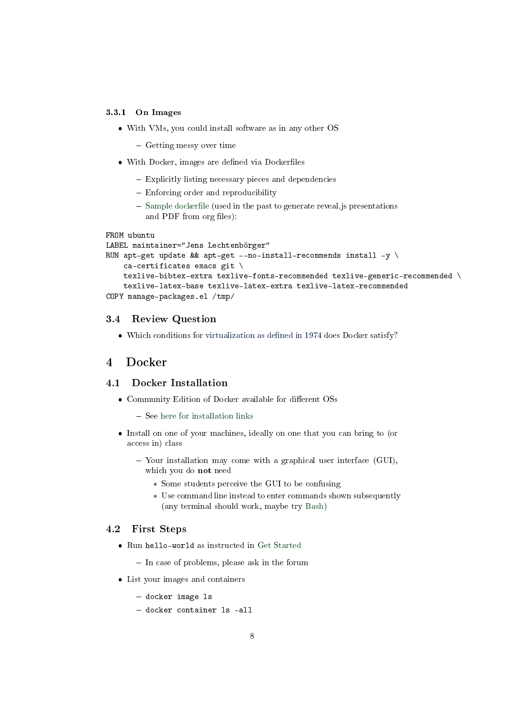#### 3.3.1 On Images

- With VMs, you could install software as in any other OS
	- Getting messy over time
- With Docker, images are defined via Dockerfiles
	- Explicitly listing necessary pieces and dependencies
	- Enforcing order and reproducibility
	- $-$  Sample dockerfile (used in the past to generate reveal.js presentations and PDF from org files):

```
FROM ubuntu
LABEL maintainer="Jens Lechtenbörger"
RUN apt-get update && apt-get --no-install-recommends install -y \setminusca-certificates emacs git \
    texlive-bibtex-extra texlive-fonts-recommended texlive-generic-recommended \
    texlive-latex-base texlive-latex-extra texlive-latex-recommended
COPY manage-packages.el /tmp/
```
#### 3.4 Review Question

 $\bullet$  Which conditions for virtualization as defined in 1974 does Docker satisfy?

## <span id="page-7-0"></span>4 Docker

#### 4.1 Docker Installation

- Community Edition of Docker available for different OSs
	- $-$  See [here for installation links](https://docs.docker.com/install/)
- Install on one of your machines, ideally on one that you can bring to (or access in) class
	- Your installation may come with a graphical user interface (GUI), which you do not need
		- \* Some students perceive the GUI to be confusing
		- \* Use command line instead to enter commands shown subsequently (any terminal should work, maybe try [Bash\)](https://oer.gitlab.io/OS/Operating-Systems-Introduction.html#slide-bash-access)

#### 4.2 First Steps

- Run hello-world as instructed in [Get Started](https://docs.docker.com/get-started/)
	- $-$  In case of problems, please ask in the forum
- List your images and containers
	- docker image 1s
	- docker container ls -all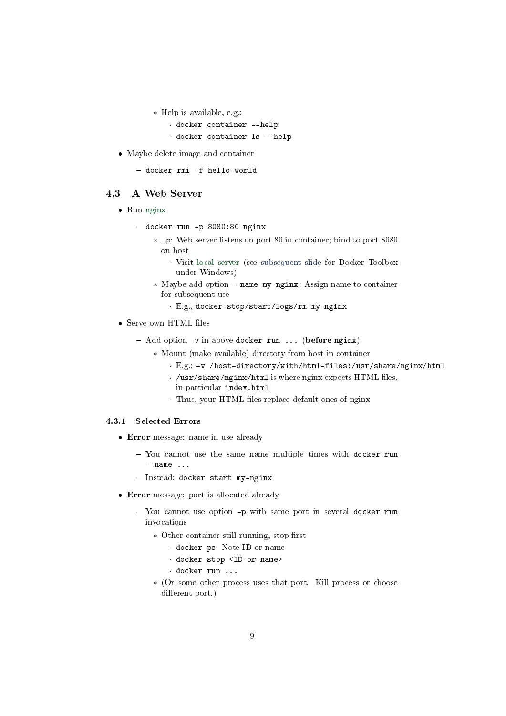\* Help is available, e.g.:

```
· docker container --help
```
- · docker container ls --help
- Maybe delete image and container

```
 docker rmi -f hello-world
```
### 4.3 A Web Server

- Run [nginx](https://en.wikipedia.org/wiki/Nginx)
	- docker run -p 8080:80 nginx
		- \* -p: Web server listens on port 80 in container; bind to port 8080 on host
			- · Visit [local server](http://localhost:8080) (see [subsequent slide](#page-9-1) for Docker Toolbox under Windows)
		- \* Maybe add option --name my-nginx: Assign name to container for subsequent use
			- · E.g., docker stop/start/logs/rm my-nginx
- $\bullet$  Serve own HTML files
	- $-$  Add option  $-v$  in above docker run ... (before nginx)
		- \* Mount (make available) directory from host in container
			- · E.g.: -v /host-directory/with/html-files:/usr/share/nginx/html
			- $\cdot$  /usr/share/nginx/html is where nginx expects HTML files,
			- in particular index.html
			- · Thus, your HTML files replace default ones of nginx

#### 4.3.1 Selected Errors

- Error message: name in use already
	- You cannot use the same name multiple times with docker run --name ...
	- Instead: docker start my-nginx
- Error message: port is allocated already
	- You cannot use option -p with same port in several docker run invocations
		- $*$  Other container still running, stop first
			- · docker ps: Note ID or name
			- · docker stop <ID-or-name>
			- · docker run ...
		- \* (Or some other process uses that port. Kill process or choose different port.)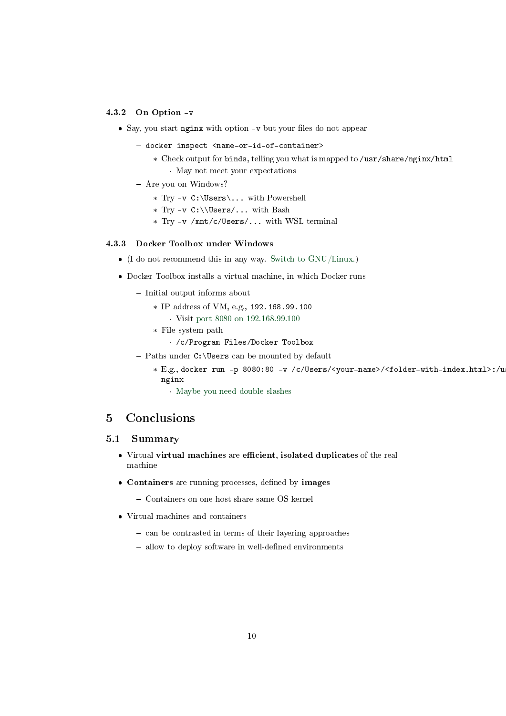#### 4.3.2 On Option -v

- $\bullet$  Say, you start nginx with option  $-\mathbf{v}$  but your files do not appear
	- docker inspect <name-or-id-of-container>
		- \* Check output for binds, telling you what is mapped to /usr/share/nginx/html · May not meet your expectations
	- Are you on Windows?
		- \* Try -v C:\Users\... with Powershell
		- \* Try -v C:\\Users/... with Bash
		- \* Try -v /mnt/c/Users/... with WSL terminal

#### <span id="page-9-1"></span>4.3.3 Docker Toolbox under Windows

- (I do not recommend this in any way. [Switch to GNU/Linux.\)](https://www.getgnulinux.org/en/switch_to_linux/)
- Docker Toolbox installs a virtual machine, in which Docker runs
	- $-$  Initial output informs about
		- \* IP address of VM, e.g., 192.168.99.100
			- · Visit [port 8080 on 192.168.99.100](http://192.168.99.100:8080)
		- \* File system path
			- · /c/Program Files/Docker Toolbox
	- $-$  Paths under C: \Users can be mounted by default
		- \* E.g., docker run -p 8080:80 -v /c/Users/<your-name>/<folder-with-index.html>:/u nginx
			- · [Maybe you need double slashes](https://stackoverflow.com/questions/33312662/docker-toolbox-mount-file-on-windows)

## <span id="page-9-0"></span>5 Conclusions

#### 5.1 Summary

- $\bullet$  Virtual virtual machines are efficient, isolated duplicates of the real machine
- Containers are running processes, defined by images
	- Containers on one host share same OS kernel
- Virtual machines and containers
	- can be contrasted in terms of their layering approaches
	- $-$  allow to deploy software in well-defined environments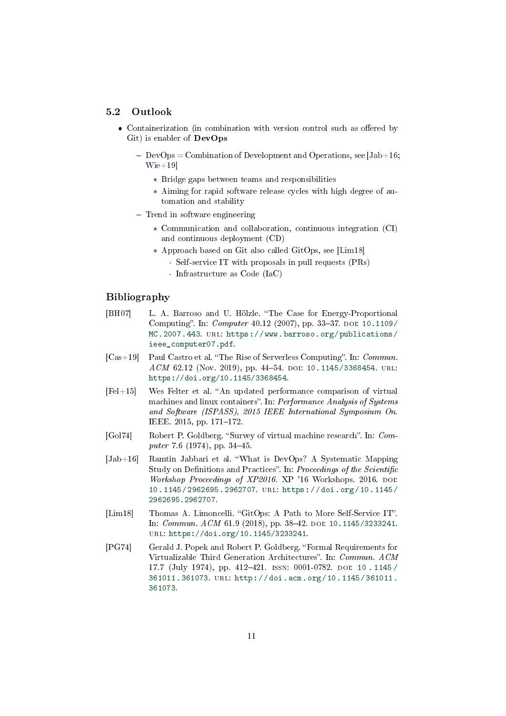#### 5.2 Outlook

- Containerization (in combination with version control such as offered by Git) is enabler of DevOps
	- $-\text{DevOps} = \text{Combination of Development and Operations, see } [Jab+16;$  $-\text{DevOps} = \text{Combination of Development and Operations, see } [Jab+16;$ [Wie+19\]](#page-11-2)
		- \* Bridge gaps between teams and responsibilities
		- \* Aiming for rapid software release cycles with high degree of automation and stability
	- Trend in software engineering
		- \* Communication and collaboration, continuous integration (CI) and continuous deployment (CD)
		- \* Approach based on Git also called GitOps, see [\[Lim18\]](#page-10-6)
			- · Self-service IT with proposals in pull requests (PRs)
			- · Infrastructure as Code (IaC)

## Bibliography

- <span id="page-10-1"></span>[BH07] L. A. Barroso and U. Hölzle. "The Case for Energy-Proportional Computing". In: *Computer* 40.12 (2007), pp. 33-37. DOI: [10.1109/](https://doi.org/10.1109/MC.2007.443) [MC.2007.443.](https://doi.org/10.1109/MC.2007.443) URL: [https://www.barroso.org/publications/](https://www.barroso.org/publications/ieee_computer07.pdf) [ieee\\_computer07.pdf.](https://www.barroso.org/publications/ieee_computer07.pdf)
- <span id="page-10-2"></span> $[Cas+19]$  Paul Castro et al. "The Rise of Serverless Computing". In: Commun. ACM 62.12 (Nov. 2019), pp. 44-54. DOI: [10.1145/3368454.](https://doi.org/10.1145/3368454) URL: [https://doi.org/10.1145/3368454.](https://doi.org/10.1145/3368454)
- <span id="page-10-4"></span> $[Fe1+15]$  Wes Felter et al. "An updated performance comparison of virtual machines and linux containers". In: Performance Analysis of Systems and Software (ISPASS), 2015 IEEE International Symposium On. IEEE. 2015, pp. 171-172.
- <span id="page-10-0"></span>[Gol74] Robert P. Goldberg. "Survey of virtual machine research". In: Computer 7.6 (1974), pp. 34-45.
- <span id="page-10-5"></span>[Jab+16] Ramtin Jabbari et al. What is DevOps? A Systematic Mapping Study on Definitions and Practices". In: Proceedings of the Scientific Workshop Proceedings of XP2016. XP '16 Workshops. 2016. DOI: [10.1145/2962695.2962707.](https://doi.org/10.1145/2962695.2962707) url: [https://doi.org/10.1145/](https://doi.org/10.1145/2962695.2962707) [2962695.2962707.](https://doi.org/10.1145/2962695.2962707)
- <span id="page-10-6"></span>[Lim18] Thomas A. Limoncelli. "GitOps: A Path to More Self-Service IT". In: Commun. ACM 61.9 (2018), pp. 38-42. DOI: [10.1145/3233241.](https://doi.org/10.1145/3233241) url: [https://doi.org/10.1145/3233241.](https://doi.org/10.1145/3233241)
- <span id="page-10-3"></span>[PG74] Gerald J. Popek and Robert P. Goldberg. Formal Requirements for Virtualizable Third Generation Architectures". In: Commun. ACM 17.7 (July 1974), pp. 412-421. ISSN: 0001-0782. DOI: 10.1145/ [361011.361073.](https://doi.org/10.1145/361011.361073) url: [http://doi.acm.org/10.1145/361011.](http://doi.acm.org/10.1145/361011.361073) [361073.](http://doi.acm.org/10.1145/361011.361073)